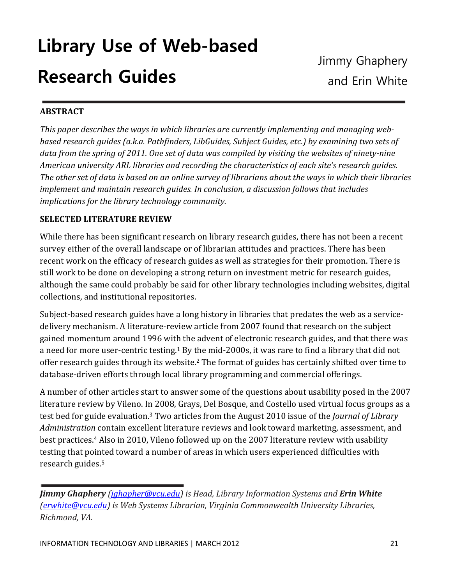# **Library Use of Web-based Research Guides**

## **ABSTRACT**

*This paper describes the ways in which libraries are currently implementing and managing webbased research guides (a.k.a. Pathfinders, LibGuides, Subject Guides, etc.) by examining two sets of data from the spring of 2011. One set of data was compiled by visiting the websites of ninety-nine American university ARL libraries and recording the characteristics of each site's research guides. The other set of data is based on an online survey of librarians about the ways in which their libraries implement and maintain research guides. In conclusion, a discussion follows that includes implications for the library technology community.*

## **SELECTED LITERATURE REVIEW**

While there has been significant research on library research guides, there has not been a recent survey either of the overall landscape or of librarian attitudes and practices. There has been recent work on the efficacy of research guides as well as strategies for their promotion. There is still work to be done on developing a strong return on investment metric for research guides, although the same could probably be said for other library technologies including websites, digital collections, and institutional repositories.

Subject-based research guides have a long history in libraries that predates the web as a servicedelivery mechanism. A literature-review article from 2007 found that research on the subject gained momentum around 1996 with the advent of electronic research guides, and that there was a need for more user-centric testing.<sup>1</sup> By the mid-2000s, it was rare to find a library that did not offer research guides through its website.2 The format of guides has certainly shifted over time to database-driven efforts through local library programming and commercial offerings.

A number of other articles start to answer some of the questions about usability posed in the 2007 literature review by Vileno. In 2008, Grays, Del Bosque, and Costello used virtual focus groups as a test bed for guide evaluation.3 Two articles from the August 2010 issue of the *Journal of Library Administration* contain excellent literature reviews and look toward marketing, assessment, and best practices.4 Also in 2010, Vileno followed up on the 2007 literature review with usability testing that pointed toward a number of areas in which users experienced difficulties with research guides.5

*Jimmy Ghaphery [\(jghapher@vcu.edu\)](mailto:jghapher@vcu.edu) is Head, Library Information Systems and Erin White (erwhite@vcu.edu) is Web Systems Librarian, Virginia Commonwealth University Libraries, Richmond, VA.*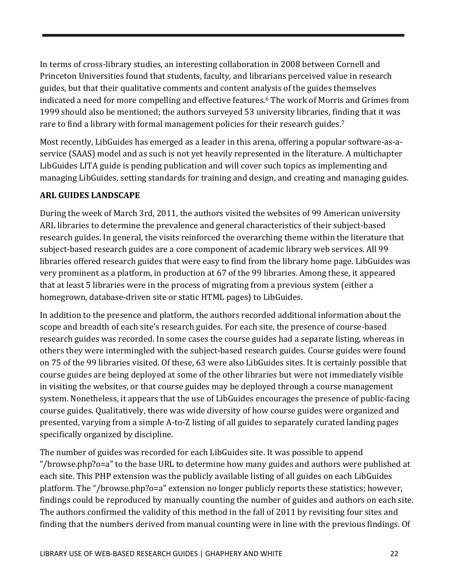In terms of cross-library studies, an interesting collaboration in 2008 between Cornell and Princeton Universities found that students, faculty, and librarians perceived value in research guides, but that their qualitative comments and content analysis of the guides themselves indicated a need for more compelling and effective features.<sup>6</sup> The work of Morris and Grimes from 1999 should also be mentioned; the authors surveyed 53 university libraries, finding that it was rare to find a library with formal management policies for their research guides.<sup>7</sup>

Most recently, LibGuides has emerged as a leader in this arena, offering a popular software-as-aservice (SAAS) model and as such is not yet heavily represented in the literature. A multichapter LibGuides LITA guide is pending publication and will cover such topics as implementing and managing LibGuides, setting standards for training and design, and creating and managing guides.

## **ARL GUIDES LANDSCAPE**

During the week of March 3rd, 2011, the authors visited the websites of 99 American university ARL libraries to determine the prevalence and general characteristics of their subject-based research guides. In general, the visits reinforced the overarching theme within the literature that subject-based research guides are a core component of academic library web services. All 99 libraries offered research guides that were easy to find from the library home page. LibGuides was very prominent as a platform, in production at 67 of the 99 libraries. Among these, it appeared that at least 5 libraries were in the process of migrating from a previous system (either a homegrown, database-driven site or static HTML pages) to LibGuides.

In addition to the presence and platform, the authors recorded additional information about the scope and breadth of each site's research guides. For each site, the presence of course-based research guides was recorded. In some cases the course guides had a separate listing, whereas in others they were intermingled with the subject-based research guides. Course guides were found on 75 of the 99 libraries visited. Of these, 63 were also LibGuides sites. It is certainly possible that course guides are being deployed at some of the other libraries but were not immediately visible in visiting the websites, or that course guides may be deployed through a course management system. Nonetheless, it appears that the use of LibGuides encourages the presence of public-facing course guides. Qualitatively, there was wide diversity of how course guides were organized and presented, varying from a simple A-to-Z listing of all guides to separately curated landing pages specifically organized by discipline.

The number of guides was recorded for each LibGuides site. It was possible to append "/browse.php?o=a" to the base URL to determine how many guides and authors were published at each site. This PHP extension was the publicly available listing of all guides on each LibGuides platform. The "/browse.php?o=a" extension no longer publicly reports these statistics; however, findings could be reproduced by manually counting the number of guides and authors on each site. The authors confirmed the validity of this method in the fall of 2011 by revisiting four sites and finding that the numbers derived from manual counting were in line with the previous findings. Of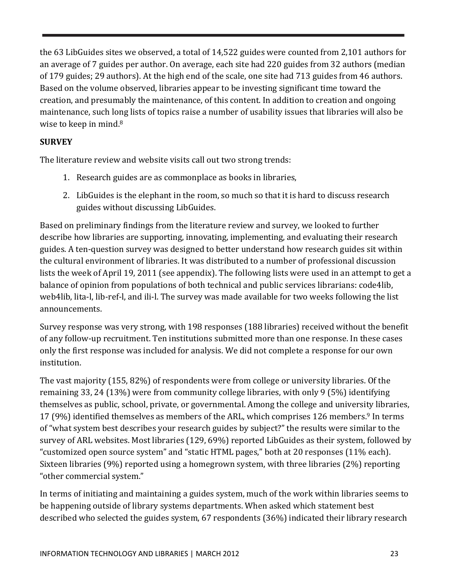the 63 LibGuides sites we observed, a total of 14,522 guides were counted from 2,101 authors for an average of 7 guides per author. On average, each site had 220 guides from 32 authors (median of 179 guides; 29 authors). At the high end of the scale, one site had 713 guides from 46 authors. Based on the volume observed, libraries appear to be investing significant time toward the creation, and presumably the maintenance, of this content. In addition to creation and ongoing maintenance, such long lists of topics raise a number of usability issues that libraries will also be wise to keep in mind.8

## **SURVEY**

The literature review and website visits call out two strong trends:

- 1. Research guides are as commonplace as books in libraries,
- 2. LibGuides is the elephant in the room, so much so that it is hard to discuss research guides without discussing LibGuides.

Based on preliminary findings from the literature review and survey, we looked to further describe how libraries are supporting, innovating, implementing, and evaluating their research guides. A ten-question survey was designed to better understand how research guides sit within the cultural environment of libraries. It was distributed to a number of professional discussion lists the week of April 19, 2011 (see appendix). The following lists were used in an attempt to get a balance of opinion from populations of both technical and public services librarians: code4lib, web4lib, lita-l, lib-ref-l, and ili-l. The survey was made available for two weeks following the list announcements.

Survey response was very strong, with 198 responses (188 libraries) received without the benefit of any follow-up recruitment. Ten institutions submitted more than one response. In these cases only the first response was included for analysis. We did not complete a response for our own institution.

The vast majority (155, 82%) of respondents were from college or university libraries. Of the remaining 33, 24 (13%) were from community college libraries, with only 9 (5%) identifying themselves as public, school, private, or governmental. Among the college and university libraries, 17 (9%) identified themselves as members of the ARL, which comprises 126 members.9 In terms of "what system best describes your research guides by subject?" the results were similar to the survey of ARL websites. Most libraries (129, 69%) reported LibGuides as their system, followed by "customized open source system" and "static HTML pages," both at 20 responses (11% each). Sixteen libraries (9%) reported using a homegrown system, with three libraries (2%) reporting "other commercial system."

In terms of initiating and maintaining a guides system, much of the work within libraries seems to be happening outside of library systems departments. When asked which statement best described who selected the guides system, 67 respondents (36%) indicated their library research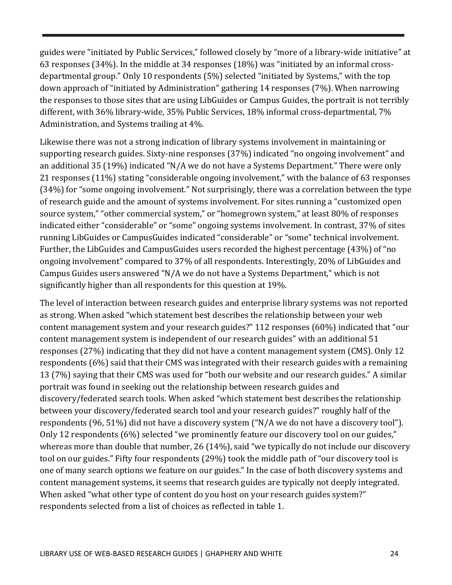guides were "initiated by Public Services," followed closely by "more of a library-wide initiative" at 63 responses (34%). In the middle at 34 responses (18%) was "initiated by an informal crossdepartmental group." Only 10 respondents (5%) selected "initiated by Systems," with the top down approach of "initiated by Administration" gathering 14 responses (7%). When narrowing the responses to those sites that are using LibGuides or Campus Guides, the portrait is not terribly different, with 36% library-wide, 35% Public Services, 18% informal cross-departmental, 7% Administration, and Systems trailing at 4%.

Likewise there was not a strong indication of library systems involvement in maintaining or supporting research guides. Sixty-nine responses (37%) indicated "no ongoing involvement" and an additional 35 (19%) indicated "N/A we do not have a Systems Department." There were only 21 responses (11%) stating "considerable ongoing involvement," with the balance of 63 responses (34%) for "some ongoing involvement." Not surprisingly, there was a correlation between the type of research guide and the amount of systems involvement. For sites running a "customized open source system," "other commercial system," or "homegrown system," at least 80% of responses indicated either "considerable" or "some" ongoing systems involvement. In contrast, 37% of sites running LibGuides or CampusGuides indicated "considerable" or "some" technical involvement. Further, the LibGuides and CampusGuides users recorded the highest percentage (43%) of "no ongoing involvement" compared to 37% of all respondents. Interestingly, 20% of LibGuides and Campus Guides users answered "N/A we do not have a Systems Department," which is not significantly higher than all respondents for this question at 19%.

The level of interaction between research guides and enterprise library systems was not reported as strong. When asked "which statement best describes the relationship between your web content management system and your research guides?" 112 responses (60%) indicated that "our content management system is independent of our research guides" with an additional 51 responses (27%) indicating that they did not have a content management system (CMS). Only 12 respondents (6%) said that their CMS was integrated with their research guides with a remaining 13 (7%) saying that their CMS was used for "both our website and our research guides." A similar portrait was found in seeking out the relationship between research guides and discovery/federated search tools. When asked "which statement best describes the relationship between your discovery/federated search tool and your research guides?" roughly half of the respondents (96, 51%) did not have a discovery system ("N/A we do not have a discovery tool"). Only 12 respondents (6%) selected "we prominently feature our discovery tool on our guides," whereas more than double that number, 26 (14%), said "we typically do not include our discovery tool on our guides." Fifty four respondents (29%) took the middle path of "our discovery tool is one of many search options we feature on our guides." In the case of both discovery systems and content management systems, it seems that research guides are typically not deeply integrated. When asked "what other type of content do you host on your research guides system?" respondents selected from a list of choices as reflected in table 1.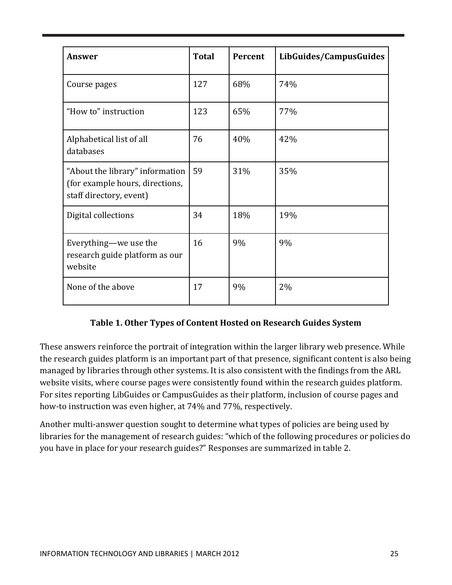| <b>Answer</b>                                                                                 | <b>Total</b> | Percent | LibGuides/CampusGuides |
|-----------------------------------------------------------------------------------------------|--------------|---------|------------------------|
| Course pages                                                                                  | 127          | 68%     | 74%                    |
| "How to" instruction                                                                          | 123          | 65%     | 77%                    |
| Alphabetical list of all<br>databases                                                         | 76           | 40%     | 42%                    |
| "About the library" information<br>(for example hours, directions,<br>staff directory, event) | 59           | 31%     | 35%                    |
| Digital collections                                                                           | 34           | 18%     | 19%                    |
| Everything—we use the<br>research guide platform as our<br>website                            | 16           | 9%      | 9%                     |
| None of the above                                                                             | 17           | 9%      | 2%                     |

# **Table 1. Other Types of Content Hosted on Research Guides System**

These answers reinforce the portrait of integration within the larger library web presence. While the research guides platform is an important part of that presence, significant content is also being managed by libraries through other systems. It is also consistent with the findings from the ARL website visits, where course pages were consistently found within the research guides platform. For sites reporting LibGuides or CampusGuides as their platform, inclusion of course pages and how-to instruction was even higher, at 74% and 77%, respectively.

Another multi-answer question sought to determine what types of policies are being used by libraries for the management of research guides: "which of the following procedures or policies do you have in place for your research guides?" Responses are summarized in table 2.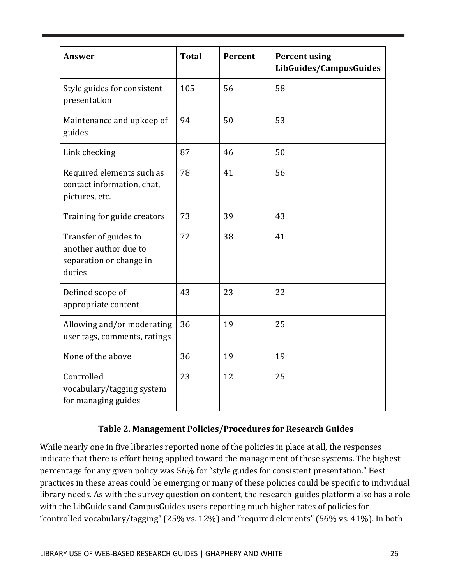| <b>Answer</b>                                                                       | <b>Total</b> | Percent | <b>Percent using</b><br>LibGuides/CampusGuides |
|-------------------------------------------------------------------------------------|--------------|---------|------------------------------------------------|
| Style guides for consistent<br>presentation                                         | 105          | 56      | 58                                             |
| Maintenance and upkeep of<br>guides                                                 | 94           | 50      | 53                                             |
| Link checking                                                                       | 87           | 46      | 50                                             |
| Required elements such as<br>contact information, chat,<br>pictures, etc.           | 78           | 41      | 56                                             |
| Training for guide creators                                                         | 73           | 39      | 43                                             |
| Transfer of guides to<br>another author due to<br>separation or change in<br>duties | 72           | 38      | 41                                             |
| Defined scope of<br>appropriate content                                             | 43           | 23      | 22                                             |
| Allowing and/or moderating<br>user tags, comments, ratings                          | 36           | 19      | 25                                             |
| None of the above                                                                   | 36           | 19      | 19                                             |
| Controlled<br>vocabulary/tagging system<br>for managing guides                      | 23           | 12      | 25                                             |

## **Table 2. Management Policies/Procedures for Research Guides**

While nearly one in five libraries reported none of the policies in place at all, the responses indicate that there is effort being applied toward the management of these systems. The highest percentage for any given policy was 56% for "style guides for consistent presentation." Best practices in these areas could be emerging or many of these policies could be specific to individual library needs. As with the survey question on content, the research-guides platform also has a role with the LibGuides and CampusGuides users reporting much higher rates of policies for "controlled vocabulary/tagging" (25% vs. 12%) and "required elements" (56% vs. 41%). In both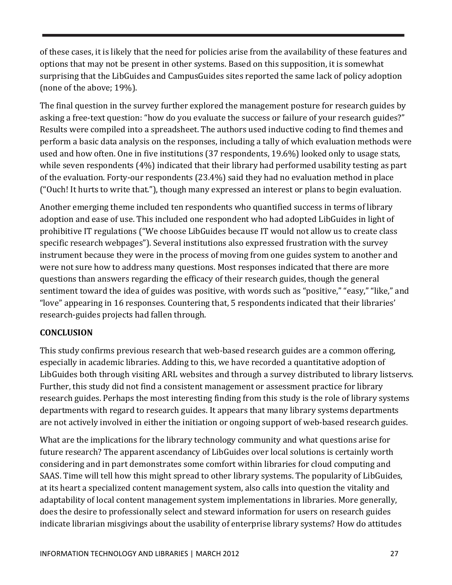of these cases, it is likely that the need for policies arise from the availability of these features and options that may not be present in other systems. Based on this supposition, it is somewhat surprising that the LibGuides and CampusGuides sites reported the same lack of policy adoption (none of the above; 19%).

The final question in the survey further explored the management posture for research guides by asking a free-text question: "how do you evaluate the success or failure of your research guides?" Results were compiled into a spreadsheet. The authors used inductive coding to find themes and perform a basic data analysis on the responses, including a tally of which evaluation methods were used and how often. One in five institutions (37 respondents, 19.6%) looked only to usage stats, while seven respondents (4%) indicated that their library had performed usability testing as part of the evaluation. Forty-our respondents (23.4%) said they had no evaluation method in place ("Ouch! It hurts to write that."), though many expressed an interest or plans to begin evaluation.

Another emerging theme included ten respondents who quantified success in terms of library adoption and ease of use. This included one respondent who had adopted LibGuides in light of prohibitive IT regulations ("We choose LibGuides because IT would not allow us to create class specific research webpages"). Several institutions also expressed frustration with the survey instrument because they were in the process of moving from one guides system to another and were not sure how to address many questions. Most responses indicated that there are more questions than answers regarding the efficacy of their research guides, though the general sentiment toward the idea of guides was positive, with words such as "positive," "easy," "like," and "love" appearing in 16 responses. Countering that, 5 respondents indicated that their libraries' research-guides projects had fallen through.

## **CONCLUSION**

This study confirms previous research that web-based research guides are a common offering, especially in academic libraries. Adding to this, we have recorded a quantitative adoption of LibGuides both through visiting ARL websites and through a survey distributed to library listservs. Further, this study did not find a consistent management or assessment practice for library research guides. Perhaps the most interesting finding from this study is the role of library systems departments with regard to research guides. It appears that many library systems departments are not actively involved in either the initiation or ongoing support of web-based research guides.

What are the implications for the library technology community and what questions arise for future research? The apparent ascendancy of LibGuides over local solutions is certainly worth considering and in part demonstrates some comfort within libraries for cloud computing and SAAS. Time will tell how this might spread to other library systems. The popularity of LibGuides, at its heart a specialized content management system, also calls into question the vitality and adaptability of local content management system implementations in libraries. More generally, does the desire to professionally select and steward information for users on research guides indicate librarian misgivings about the usability of enterprise library systems? How do attitudes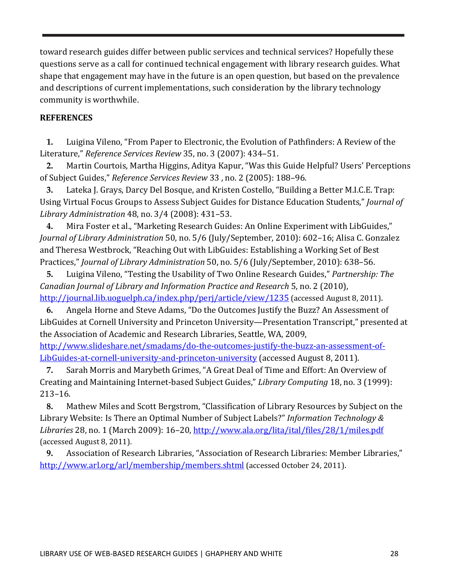toward research guides differ between public services and technical services? Hopefully these questions serve as a call for continued technical engagement with library research guides. What shape that engagement may have in the future is an open question, but based on the prevalence and descriptions of current implementations, such consideration by the library technology community is worthwhile.

#### **REFERENCES**

**1.** Luigina Vileno, "From Paper to Electronic, the Evolution of Pathfinders: A Review of the Literature," *Reference Services Review* 35, no. 3 (2007): 434–51.

**2.** Martin Courtois, Martha Higgins, Aditya Kapur, "Was this Guide Helpful? Users' Perceptions of Subject Guides," *Reference Services Review* 33 , no. 2 (2005): 188–96.

**3.** Lateka J. Grays, Darcy Del Bosque, and Kristen Costello, "Building a Better M.I.C.E. Trap: Using Virtual Focus Groups to Assess Subject Guides for Distance Education Students," *Journal of Library Administration* 48, no. 3/4 (2008): 431–53.

**4.** Mira Foster et al., "Marketing Research Guides: An Online Experiment with LibGuides," *Journal of Library Administration* 50, no. 5/6 (July/September, 2010): 602–16; Alisa C. Gonzalez and Theresa Westbrock, "Reaching Out with LibGuides: Establishing a Working Set of Best Practices," *Journal of Library Administration* 50, no. 5/6 (July/September, 2010): 638–56.

**5.** Luigina Vileno, "Testing the Usability of Two Online Research Guides," *Partnership: The Canadian Journal of Library and Information Practice and Research* 5, no. 2 (2010), <http://journal.lib.uoguelph.ca/index.php/perj/article/view/1235> (accessed August 8, 2011).

**6.** Angela Horne and Steve Adams, "Do the Outcomes Justify the Buzz? An Assessment of LibGuides at Cornell University and Princeton University—Presentation Transcript," presented at the Association of Academic and Research Libraries, Seattle, WA, 2009,

[http://www.slideshare.net/smadams/do-the-outcomes-justify-the-buzz-an-assessment-of-](http://www.slideshare.net/smadams/do-the-outcomes-justify-the-buzz-an-assessment-of-LibGuides-at-cornell-university-and-princeton-university)[LibGuides-at-cornell-university-and-princeton-university](http://www.slideshare.net/smadams/do-the-outcomes-justify-the-buzz-an-assessment-of-LibGuides-at-cornell-university-and-princeton-university) (accessed August 8, 2011).

**7.** Sarah Morris and Marybeth Grimes, "A Great Deal of Time and Effort: An Overview of Creating and Maintaining Internet-based Subject Guides," *Library Computing* 18, no. 3 (1999): 213–16.

**8.** Mathew Miles and Scott Bergstrom, "Classification of Library Resources by Subject on the Library Website: Is There an Optimal Number of Subject Labels?" *Information Technology & Libraries* 28, no. 1 (March 2009): 16–20, <http://www.ala.org/lita/ital/files/28/1/miles.pdf> (accessed August 8, 2011).

**9.** Association of Research Libraries, "Association of Research Libraries: Member Libraries," <http://www.arl.org/arl/membership/members.shtml> (accessed October 24, 2011).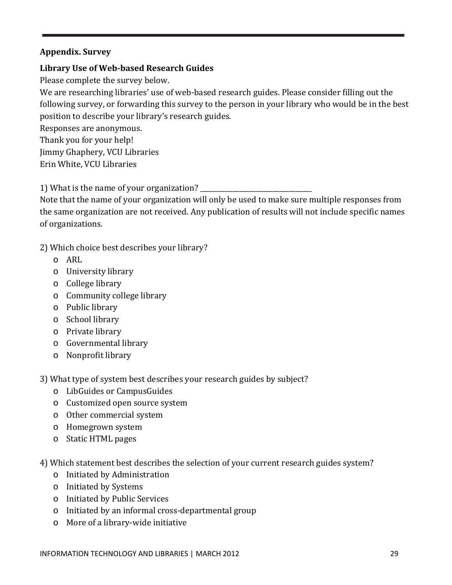#### **Appendix. Survey**

#### **Library Use of Web-based Research Guides**

Please complete the survey below.

We are researching libraries' use of web-based research guides. Please consider filling out the following survey, or forwarding this survey to the person in your library who would be in the best position to describe your library's research guides.

Responses are anonymous.

Thank you for your help!

Jimmy Ghaphery, VCU Libraries

Erin White, VCU Libraries

1) What is the name of your organization?

Note that the name of your organization will only be used to make sure multiple responses from the same organization are not received. Any publication of results will not include specific names of organizations.

2) Which choice best describes your library?

- o ARL
- o University library
- o College library
- o Community college library
- o Public library
- o School library
- o Private library
- o Governmental library
- o Nonprofit library
- 3) What type of system best describes your research guides by subject?
	- o LibGuides or CampusGuides
	- o Customized open source system
	- o Other commercial system
	- o Homegrown system
	- o Static HTML pages

#### 4) Which statement best describes the selection of your current research guides system?

- o Initiated by Administration
- o Initiated by Systems
- o Initiated by Public Services
- o Initiated by an informal cross-departmental group
- o More of a library-wide initiative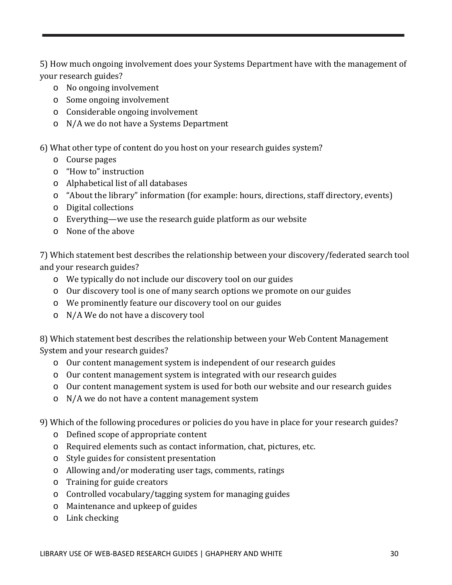5) How much ongoing involvement does your Systems Department have with the management of your research guides?

- o No ongoing involvement
- o Some ongoing involvement
- o Considerable ongoing involvement
- o N/A we do not have a Systems Department

6) What other type of content do you host on your research guides system?

- o Course pages
- o "How to" instruction
- o Alphabetical list of all databases
- o "About the library" information (for example: hours, directions, staff directory, events)
- o Digital collections
- o Everything—we use the research guide platform as our website
- o None of the above

7) Which statement best describes the relationship between your discovery/federated search tool and your research guides?

- o We typically do not include our discovery tool on our guides
- o Our discovery tool is one of many search options we promote on our guides
- o We prominently feature our discovery tool on our guides
- o N/A We do not have a discovery tool

8) Which statement best describes the relationship between your Web Content Management System and your research guides?

- o Our content management system is independent of our research guides
- o Our content management system is integrated with our research guides
- o Our content management system is used for both our website and our research guides
- o N/A we do not have a content management system

9) Which of the following procedures or policies do you have in place for your research guides?

- o Defined scope of appropriate content
- o Required elements such as contact information, chat, pictures, etc.
- o Style guides for consistent presentation
- o Allowing and/or moderating user tags, comments, ratings
- o Training for guide creators
- o Controlled vocabulary/tagging system for managing guides
- o Maintenance and upkeep of guides
- o Link checking